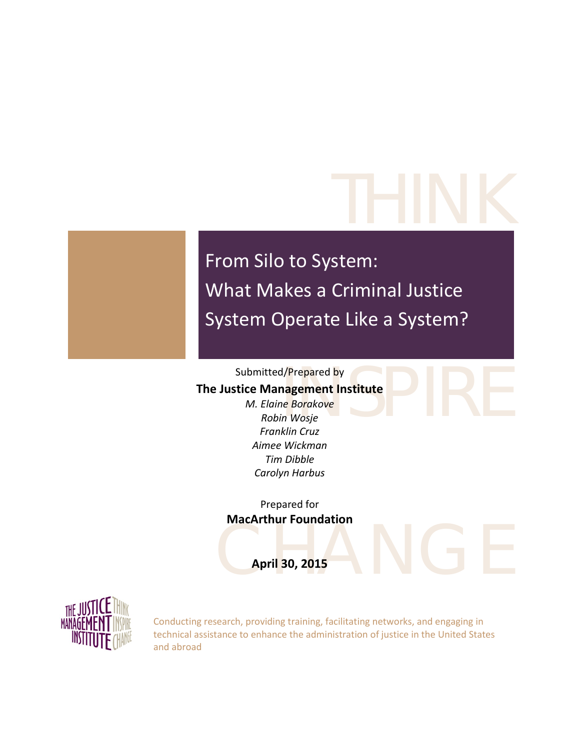# THINK

From Silo to System: What Makes a Criminal Justice System Operate Like a System?

### Submitted/Prepared by

### **The Justice Management Institute**

d/Prepared by<br> **nagement Institute**<br>
In Wosje<br>
Win Gruz *M. Elaine Borakove Robin Wosje Franklin Cruz Aimee Wickman Tim Dibble Carolyn Harbus*

Prepared for **MacArthur Foundation**

April 30, 2015 **April 30, 2015**



Conducting research, providing training, facilitating networks, and engaging in technical assistance to enhance the administration of justice in the United States and abroad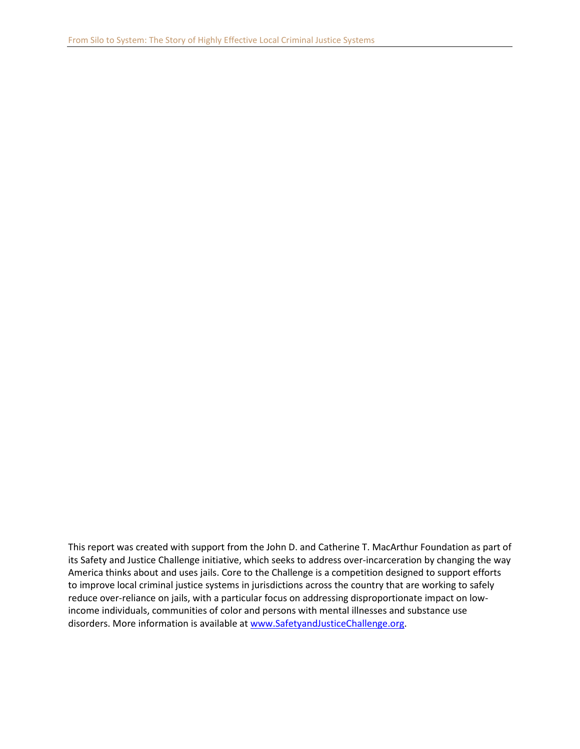This report was created with support from the John D. and Catherine T. MacArthur Foundation as part of its Safety and Justice Challenge initiative, which seeks to address over-incarceration by changing the way America thinks about and uses jails. Core to the Challenge is a competition designed to support efforts to improve local criminal justice systems in jurisdictions across the country that are working to safely reduce over-reliance on jails, with a particular focus on addressing disproportionate impact on lowincome individuals, communities of color and persons with mental illnesses and substance use disorders. More information is available a[t www.SafetyandJusticeChallenge.org.](http://www.safetyandjusticechallenge.org/)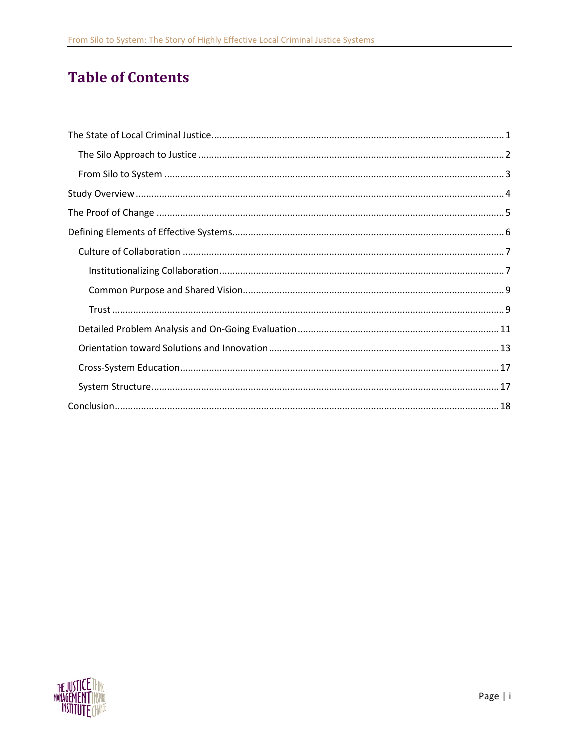# **Table of Contents**

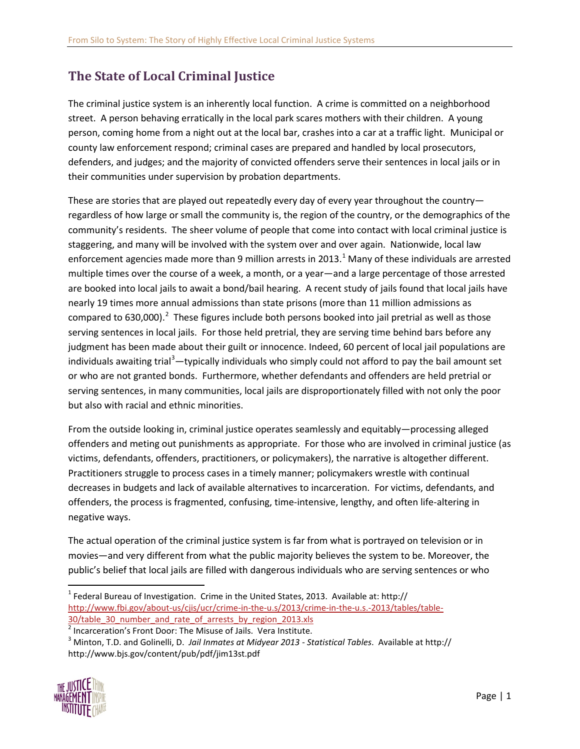# <span id="page-3-0"></span>**The State of Local Criminal Justice**

The criminal justice system is an inherently local function. A crime is committed on a neighborhood street. A person behaving erratically in the local park scares mothers with their children. A young person, coming home from a night out at the local bar, crashes into a car at a traffic light. Municipal or county law enforcement respond; criminal cases are prepared and handled by local prosecutors, defenders, and judges; and the majority of convicted offenders serve their sentences in local jails or in their communities under supervision by probation departments.

These are stories that are played out repeatedly every day of every year throughout the country regardless of how large or small the community is, the region of the country, or the demographics of the community's residents. The sheer volume of people that come into contact with local criminal justice is staggering, and many will be involved with the system over and over again. Nationwide, local law enforcement agencies made more than 9 million arrests in 20[1](#page-3-1)3.<sup>1</sup> Many of these individuals are arrested multiple times over the course of a week, a month, or a year—and a large percentage of those arrested are booked into local jails to await a bond/bail hearing. A recent study of jails found that local jails have nearly 19 times more annual admissions than state prisons (more than 11 million admissions as compared to 630,000).<sup>[2](#page-3-2)</sup> These figures include both persons booked into jail pretrial as well as those serving sentences in local jails. For those held pretrial, they are serving time behind bars before any judgment has been made about their guilt or innocence. Indeed, 60 percent of local jail populations are individuals awaiting trial<sup>[3](#page-3-3)</sup>—typically individuals who simply could not afford to pay the bail amount set or who are not granted bonds. Furthermore, whether defendants and offenders are held pretrial or serving sentences, in many communities, local jails are disproportionately filled with not only the poor but also with racial and ethnic minorities.

From the outside looking in, criminal justice operates seamlessly and equitably—processing alleged offenders and meting out punishments as appropriate. For those who are involved in criminal justice (as victims, defendants, offenders, practitioners, or policymakers), the narrative is altogether different. Practitioners struggle to process cases in a timely manner; policymakers wrestle with continual decreases in budgets and lack of available alternatives to incarceration. For victims, defendants, and offenders, the process is fragmented, confusing, time-intensive, lengthy, and often life-altering in negative ways.

The actual operation of the criminal justice system is far from what is portrayed on television or in movies—and very different from what the public majority believes the system to be. Moreover, the public's belief that local jails are filled with dangerous individuals who are serving sentences or who

<span id="page-3-3"></span><span id="page-3-2"></span><sup>3</sup> Minton, T.D. and Golinelli, D. *Jail Inmates at Midyear 2013 - Statistical Tables*. Available at http:// http://www.bjs.gov/content/pub/pdf/jim13st.pdf



<span id="page-3-1"></span> $1$  Federal Bureau of Investigation. Crime in the United States, 2013. Available at: http:// [http://www.fbi.gov/about-us/cjis/ucr/crime-in-the-u.s/2013/crime-in-the-u.s.-2013/tables/table-](http://www.fbi.gov/about-us/cjis/ucr/crime-in-the-u.s/2013/crime-in-the-u.s.-2013/tables/table-30/table_30_number_and_rate_of_arrests_by_region_2013.xls)30/table 30 number and rate of arrests by region 2013.xls

 $2$  Incarceration's Front Door: The Misuse of Jails. Vera Institute.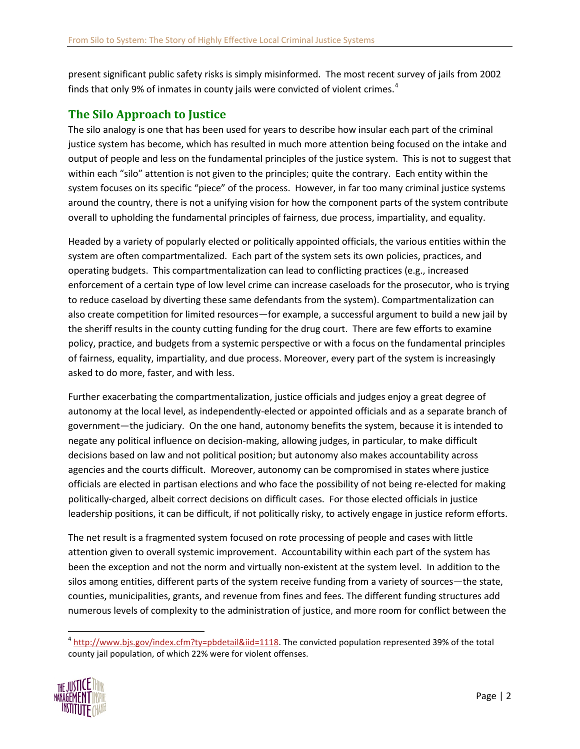present significant public safety risks is simply misinformed. The most recent survey of jails from 2002 finds that only 9% of inmates in county jails were convicted of violent crimes. $4$ 

### <span id="page-4-0"></span>**The Silo Approach to Justice**

The silo analogy is one that has been used for years to describe how insular each part of the criminal justice system has become, which has resulted in much more attention being focused on the intake and output of people and less on the fundamental principles of the justice system. This is not to suggest that within each "silo" attention is not given to the principles; quite the contrary. Each entity within the system focuses on its specific "piece" of the process. However, in far too many criminal justice systems around the country, there is not a unifying vision for how the component parts of the system contribute overall to upholding the fundamental principles of fairness, due process, impartiality, and equality.

Headed by a variety of popularly elected or politically appointed officials, the various entities within the system are often compartmentalized. Each part of the system sets its own policies, practices, and operating budgets. This compartmentalization can lead to conflicting practices (e.g., increased enforcement of a certain type of low level crime can increase caseloads for the prosecutor, who is trying to reduce caseload by diverting these same defendants from the system). Compartmentalization can also create competition for limited resources—for example, a successful argument to build a new jail by the sheriff results in the county cutting funding for the drug court. There are few efforts to examine policy, practice, and budgets from a systemic perspective or with a focus on the fundamental principles of fairness, equality, impartiality, and due process. Moreover, every part of the system is increasingly asked to do more, faster, and with less.

Further exacerbating the compartmentalization, justice officials and judges enjoy a great degree of autonomy at the local level, as independently-elected or appointed officials and as a separate branch of government—the judiciary. On the one hand, autonomy benefits the system, because it is intended to negate any political influence on decision-making, allowing judges, in particular, to make difficult decisions based on law and not political position; but autonomy also makes accountability across agencies and the courts difficult. Moreover, autonomy can be compromised in states where justice officials are elected in partisan elections and who face the possibility of not being re-elected for making politically-charged, albeit correct decisions on difficult cases. For those elected officials in justice leadership positions, it can be difficult, if not politically risky, to actively engage in justice reform efforts.

The net result is a fragmented system focused on rote processing of people and cases with little attention given to overall systemic improvement. Accountability within each part of the system has been the exception and not the norm and virtually non-existent at the system level. In addition to the silos among entities, different parts of the system receive funding from a variety of sources—the state, counties, municipalities, grants, and revenue from fines and fees. The different funding structures add numerous levels of complexity to the administration of justice, and more room for conflict between the

<span id="page-4-1"></span> $4$  [http://www.bjs.gov/index.cfm?ty=pbdetail&iid=1118.](http://www.bjs.gov/index.cfm?ty=pbdetail&iid=1118) The convicted population represented 39% of the total county jail population, of which 22% were for violent offenses.

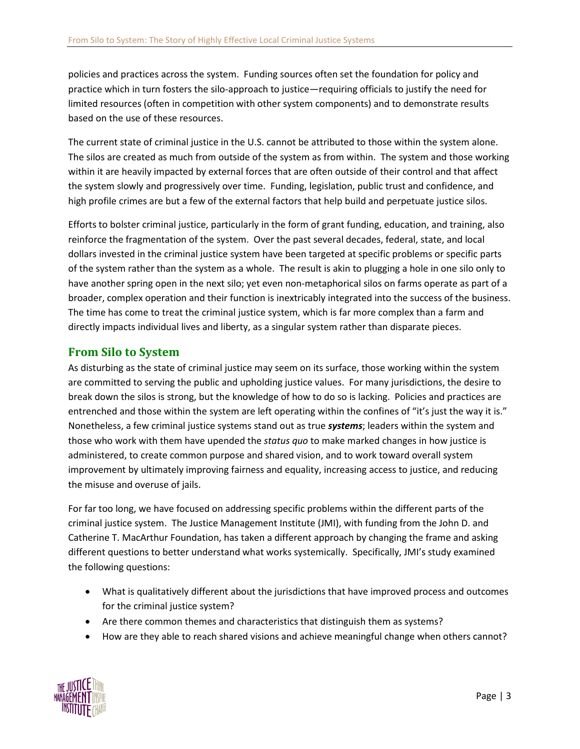policies and practices across the system. Funding sources often set the foundation for policy and practice which in turn fosters the silo-approach to justice—requiring officials to justify the need for limited resources (often in competition with other system components) and to demonstrate results based on the use of these resources.

The current state of criminal justice in the U.S. cannot be attributed to those within the system alone. The silos are created as much from outside of the system as from within. The system and those working within it are heavily impacted by external forces that are often outside of their control and that affect the system slowly and progressively over time. Funding, legislation, public trust and confidence, and high profile crimes are but a few of the external factors that help build and perpetuate justice silos.

Efforts to bolster criminal justice, particularly in the form of grant funding, education, and training, also reinforce the fragmentation of the system. Over the past several decades, federal, state, and local dollars invested in the criminal justice system have been targeted at specific problems or specific parts of the system rather than the system as a whole. The result is akin to plugging a hole in one silo only to have another spring open in the next silo; yet even non-metaphorical silos on farms operate as part of a broader, complex operation and their function is inextricably integrated into the success of the business. The time has come to treat the criminal justice system, which is far more complex than a farm and directly impacts individual lives and liberty, as a singular system rather than disparate pieces.

### <span id="page-5-0"></span>**From Silo to System**

As disturbing as the state of criminal justice may seem on its surface, those working within the system are committed to serving the public and upholding justice values. For many jurisdictions, the desire to break down the silos is strong, but the knowledge of how to do so is lacking. Policies and practices are entrenched and those within the system are left operating within the confines of "it's just the way it is." Nonetheless, a few criminal justice systems stand out as true *systems*; leaders within the system and those who work with them have upended the *status quo* to make marked changes in how justice is administered, to create common purpose and shared vision, and to work toward overall system improvement by ultimately improving fairness and equality, increasing access to justice, and reducing the misuse and overuse of jails.

For far too long, we have focused on addressing specific problems within the different parts of the criminal justice system. The Justice Management Institute (JMI), with funding from the John D. and Catherine T. MacArthur Foundation, has taken a different approach by changing the frame and asking different questions to better understand what works systemically. Specifically, JMI's study examined the following questions:

- What is qualitatively different about the jurisdictions that have improved process and outcomes for the criminal justice system?
- Are there common themes and characteristics that distinguish them as systems?
- How are they able to reach shared visions and achieve meaningful change when others cannot?

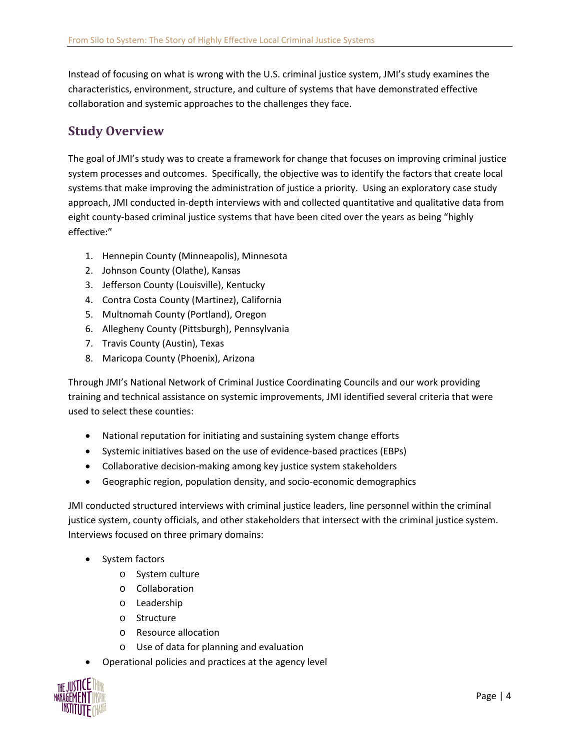Instead of focusing on what is wrong with the U.S. criminal justice system, JMI's study examines the characteristics, environment, structure, and culture of systems that have demonstrated effective collaboration and systemic approaches to the challenges they face.

# <span id="page-6-0"></span>**Study Overview**

The goal of JMI's study was to create a framework for change that focuses on improving criminal justice system processes and outcomes. Specifically, the objective was to identify the factors that create local systems that make improving the administration of justice a priority. Using an exploratory case study approach, JMI conducted in-depth interviews with and collected quantitative and qualitative data from eight county-based criminal justice systems that have been cited over the years as being "highly effective:"

- 1. Hennepin County (Minneapolis), Minnesota
- 2. Johnson County (Olathe), Kansas
- 3. Jefferson County (Louisville), Kentucky
- 4. Contra Costa County (Martinez), California
- 5. Multnomah County (Portland), Oregon
- 6. Allegheny County (Pittsburgh), Pennsylvania
- 7. Travis County (Austin), Texas
- 8. Maricopa County (Phoenix), Arizona

Through JMI's National Network of Criminal Justice Coordinating Councils and our work providing training and technical assistance on systemic improvements, JMI identified several criteria that were used to select these counties:

- National reputation for initiating and sustaining system change efforts
- Systemic initiatives based on the use of evidence-based practices (EBPs)
- Collaborative decision-making among key justice system stakeholders
- Geographic region, population density, and socio-economic demographics

JMI conducted structured interviews with criminal justice leaders, line personnel within the criminal justice system, county officials, and other stakeholders that intersect with the criminal justice system. Interviews focused on three primary domains:

- System factors
	- o System culture
	- o Collaboration
	- o Leadership
	- o Structure
	- o Resource allocation
	- o Use of data for planning and evaluation
- Operational policies and practices at the agency level

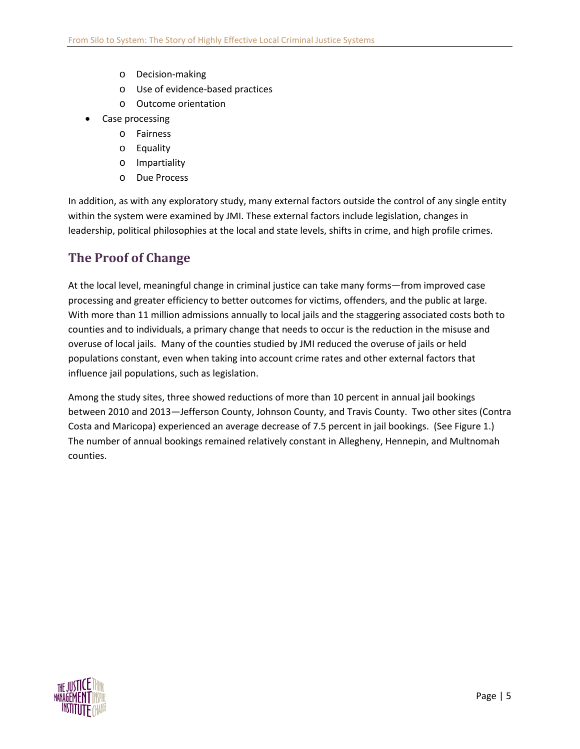- o Decision-making
- o Use of evidence-based practices
- o Outcome orientation
- Case processing
	- o Fairness
	- o Equality
	- o Impartiality
	- o Due Process

In addition, as with any exploratory study, many external factors outside the control of any single entity within the system were examined by JMI. These external factors include legislation, changes in leadership, political philosophies at the local and state levels, shifts in crime, and high profile crimes.

## <span id="page-7-0"></span>**The Proof of Change**

At the local level, meaningful change in criminal justice can take many forms—from improved case processing and greater efficiency to better outcomes for victims, offenders, and the public at large. With more than 11 million admissions annually to local jails and the staggering associated costs both to counties and to individuals, a primary change that needs to occur is the reduction in the misuse and overuse of local jails. Many of the counties studied by JMI reduced the overuse of jails or held populations constant, even when taking into account crime rates and other external factors that influence jail populations, such as legislation.

Among the study sites, three showed reductions of more than 10 percent in annual jail bookings between 2010 and 2013—Jefferson County, Johnson County, and Travis County. Two other sites (Contra Costa and Maricopa) experienced an average decrease of 7.5 percent in jail bookings. (See Figure 1.) The number of annual bookings remained relatively constant in Allegheny, Hennepin, and Multnomah counties.

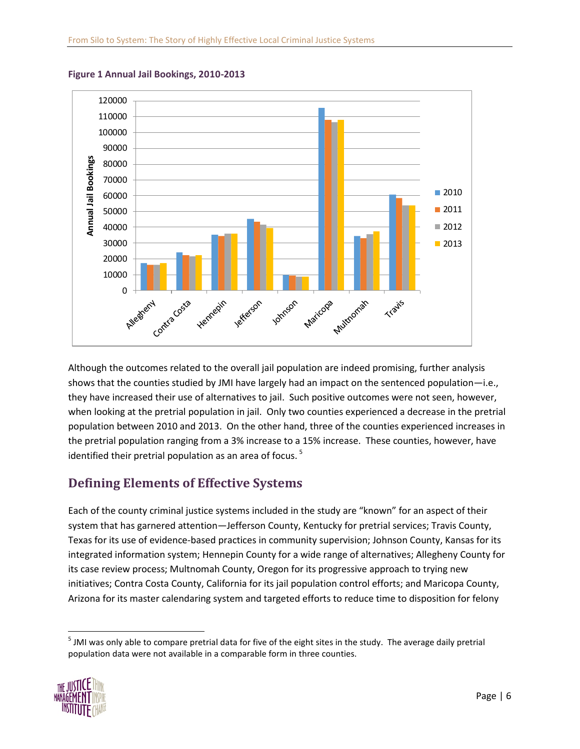

**Figure 1 Annual Jail Bookings, 2010-2013**

Although the outcomes related to the overall jail population are indeed promising, further analysis shows that the counties studied by JMI have largely had an impact on the sentenced population—i.e., they have increased their use of alternatives to jail. Such positive outcomes were not seen, however, when looking at the pretrial population in jail. Only two counties experienced a decrease in the pretrial population between 2010 and 2013. On the other hand, three of the counties experienced increases in the pretrial population ranging from a 3% increase to a 15% increase. These counties, however, have identified their pretrial population as an area of focus.  $5$ 

# <span id="page-8-0"></span>**Defining Elements of Effective Systems**

Each of the county criminal justice systems included in the study are "known" for an aspect of their system that has garnered attention—Jefferson County, Kentucky for pretrial services; Travis County, Texas for its use of evidence-based practices in community supervision; Johnson County, Kansas for its integrated information system; Hennepin County for a wide range of alternatives; Allegheny County for its case review process; Multnomah County, Oregon for its progressive approach to trying new initiatives; Contra Costa County, California for its jail population control efforts; and Maricopa County, Arizona for its master calendaring system and targeted efforts to reduce time to disposition for felony

<span id="page-8-1"></span><sup>&</sup>lt;sup>5</sup> JMI was only able to compare pretrial data for five of the eight sites in the study. The average daily pretrial population data were not available in a comparable form in three counties.

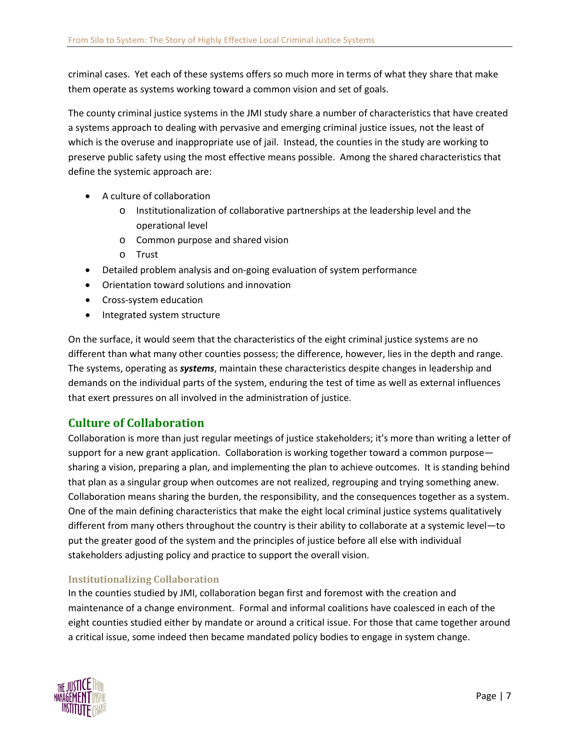criminal cases. Yet each of these systems offers so much more in terms of what they share that make them operate as systems working toward a common vision and set of goals.

The county criminal justice systems in the JMI study share a number of characteristics that have created a systems approach to dealing with pervasive and emerging criminal justice issues, not the least of which is the overuse and inappropriate use of jail. Instead, the counties in the study are working to preserve public safety using the most effective means possible. Among the shared characteristics that define the systemic approach are:

- A culture of collaboration
	- o Institutionalization of collaborative partnerships at the leadership level and the operational level
	- o Common purpose and shared vision
	- o Trust
- Detailed problem analysis and on-going evaluation of system performance
- Orientation toward solutions and innovation
- Cross-system education
- Integrated system structure

On the surface, it would seem that the characteristics of the eight criminal justice systems are no different than what many other counties possess; the difference, however, lies in the depth and range. The systems, operating as *systems*, maintain these characteristics despite changes in leadership and demands on the individual parts of the system, enduring the test of time as well as external influences that exert pressures on all involved in the administration of justice.

### <span id="page-9-0"></span>**Culture of Collaboration**

Collaboration is more than just regular meetings of justice stakeholders; it's more than writing a letter of support for a new grant application. Collaboration is working together toward a common purpose sharing a vision, preparing a plan, and implementing the plan to achieve outcomes. It is standing behind that plan as a singular group when outcomes are not realized, regrouping and trying something anew. Collaboration means sharing the burden, the responsibility, and the consequences together as a system. One of the main defining characteristics that make the eight local criminal justice systems qualitatively different from many others throughout the country is their ability to collaborate at a systemic level—to put the greater good of the system and the principles of justice before all else with individual stakeholders adjusting policy and practice to support the overall vision.

### <span id="page-9-1"></span>**Institutionalizing Collaboration**

In the counties studied by JMI, collaboration began first and foremost with the creation and maintenance of a change environment. Formal and informal coalitions have coalesced in each of the eight counties studied either by mandate or around a critical issue. For those that came together around a critical issue, some indeed then became mandated policy bodies to engage in system change.

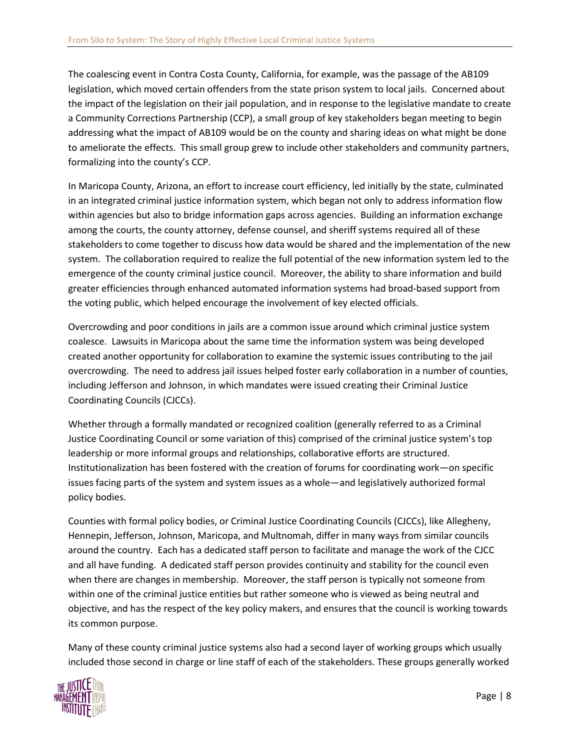The coalescing event in Contra Costa County, California, for example, was the passage of the AB109 legislation, which moved certain offenders from the state prison system to local jails. Concerned about the impact of the legislation on their jail population, and in response to the legislative mandate to create a Community Corrections Partnership (CCP), a small group of key stakeholders began meeting to begin addressing what the impact of AB109 would be on the county and sharing ideas on what might be done to ameliorate the effects. This small group grew to include other stakeholders and community partners, formalizing into the county's CCP.

In Maricopa County, Arizona, an effort to increase court efficiency, led initially by the state, culminated in an integrated criminal justice information system, which began not only to address information flow within agencies but also to bridge information gaps across agencies. Building an information exchange among the courts, the county attorney, defense counsel, and sheriff systems required all of these stakeholders to come together to discuss how data would be shared and the implementation of the new system. The collaboration required to realize the full potential of the new information system led to the emergence of the county criminal justice council. Moreover, the ability to share information and build greater efficiencies through enhanced automated information systems had broad-based support from the voting public, which helped encourage the involvement of key elected officials.

Overcrowding and poor conditions in jails are a common issue around which criminal justice system coalesce. Lawsuits in Maricopa about the same time the information system was being developed created another opportunity for collaboration to examine the systemic issues contributing to the jail overcrowding. The need to address jail issues helped foster early collaboration in a number of counties, including Jefferson and Johnson, in which mandates were issued creating their Criminal Justice Coordinating Councils (CJCCs).

Whether through a formally mandated or recognized coalition (generally referred to as a Criminal Justice Coordinating Council or some variation of this) comprised of the criminal justice system's top leadership or more informal groups and relationships, collaborative efforts are structured. Institutionalization has been fostered with the creation of forums for coordinating work—on specific issues facing parts of the system and system issues as a whole—and legislatively authorized formal policy bodies.

Counties with formal policy bodies, or Criminal Justice Coordinating Councils (CJCCs), like Allegheny, Hennepin, Jefferson, Johnson, Maricopa, and Multnomah, differ in many ways from similar councils around the country. Each has a dedicated staff person to facilitate and manage the work of the CJCC and all have funding. A dedicated staff person provides continuity and stability for the council even when there are changes in membership. Moreover, the staff person is typically not someone from within one of the criminal justice entities but rather someone who is viewed as being neutral and objective, and has the respect of the key policy makers, and ensures that the council is working towards its common purpose.

Many of these county criminal justice systems also had a second layer of working groups which usually included those second in charge or line staff of each of the stakeholders. These groups generally worked

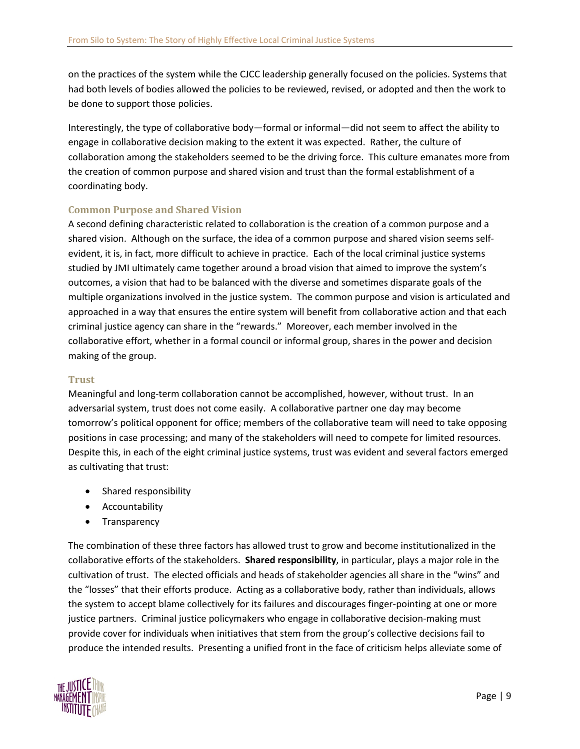on the practices of the system while the CJCC leadership generally focused on the policies. Systems that had both levels of bodies allowed the policies to be reviewed, revised, or adopted and then the work to be done to support those policies.

Interestingly, the type of collaborative body—formal or informal—did not seem to affect the ability to engage in collaborative decision making to the extent it was expected. Rather, the culture of collaboration among the stakeholders seemed to be the driving force. This culture emanates more from the creation of common purpose and shared vision and trust than the formal establishment of a coordinating body.

### <span id="page-11-0"></span>**Common Purpose and Shared Vision**

A second defining characteristic related to collaboration is the creation of a common purpose and a shared vision. Although on the surface, the idea of a common purpose and shared vision seems selfevident, it is, in fact, more difficult to achieve in practice. Each of the local criminal justice systems studied by JMI ultimately came together around a broad vision that aimed to improve the system's outcomes, a vision that had to be balanced with the diverse and sometimes disparate goals of the multiple organizations involved in the justice system. The common purpose and vision is articulated and approached in a way that ensures the entire system will benefit from collaborative action and that each criminal justice agency can share in the "rewards." Moreover, each member involved in the collaborative effort, whether in a formal council or informal group, shares in the power and decision making of the group.

### <span id="page-11-1"></span>**Trust**

Meaningful and long-term collaboration cannot be accomplished, however, without trust. In an adversarial system, trust does not come easily. A collaborative partner one day may become tomorrow's political opponent for office; members of the collaborative team will need to take opposing positions in case processing; and many of the stakeholders will need to compete for limited resources. Despite this, in each of the eight criminal justice systems, trust was evident and several factors emerged as cultivating that trust:

- Shared responsibility
- Accountability
- **Transparency**

The combination of these three factors has allowed trust to grow and become institutionalized in the collaborative efforts of the stakeholders. **Shared responsibility**, in particular, plays a major role in the cultivation of trust. The elected officials and heads of stakeholder agencies all share in the "wins" and the "losses" that their efforts produce. Acting as a collaborative body, rather than individuals, allows the system to accept blame collectively for its failures and discourages finger-pointing at one or more justice partners. Criminal justice policymakers who engage in collaborative decision-making must provide cover for individuals when initiatives that stem from the group's collective decisions fail to produce the intended results. Presenting a unified front in the face of criticism helps alleviate some of

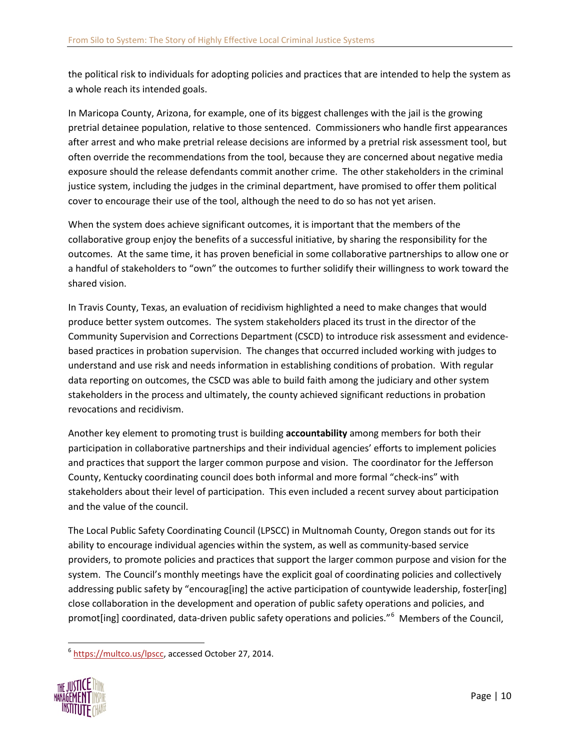the political risk to individuals for adopting policies and practices that are intended to help the system as a whole reach its intended goals.

In Maricopa County, Arizona, for example, one of its biggest challenges with the jail is the growing pretrial detainee population, relative to those sentenced. Commissioners who handle first appearances after arrest and who make pretrial release decisions are informed by a pretrial risk assessment tool, but often override the recommendations from the tool, because they are concerned about negative media exposure should the release defendants commit another crime. The other stakeholders in the criminal justice system, including the judges in the criminal department, have promised to offer them political cover to encourage their use of the tool, although the need to do so has not yet arisen.

When the system does achieve significant outcomes, it is important that the members of the collaborative group enjoy the benefits of a successful initiative, by sharing the responsibility for the outcomes. At the same time, it has proven beneficial in some collaborative partnerships to allow one or a handful of stakeholders to "own" the outcomes to further solidify their willingness to work toward the shared vision.

In Travis County, Texas, an evaluation of recidivism highlighted a need to make changes that would produce better system outcomes. The system stakeholders placed its trust in the director of the Community Supervision and Corrections Department (CSCD) to introduce risk assessment and evidencebased practices in probation supervision. The changes that occurred included working with judges to understand and use risk and needs information in establishing conditions of probation. With regular data reporting on outcomes, the CSCD was able to build faith among the judiciary and other system stakeholders in the process and ultimately, the county achieved significant reductions in probation revocations and recidivism.

Another key element to promoting trust is building **accountability** among members for both their participation in collaborative partnerships and their individual agencies' efforts to implement policies and practices that support the larger common purpose and vision. The coordinator for the Jefferson County, Kentucky coordinating council does both informal and more formal "check-ins" with stakeholders about their level of participation. This even included a recent survey about participation and the value of the council.

The Local Public Safety Coordinating Council (LPSCC) in Multnomah County, Oregon stands out for its ability to encourage individual agencies within the system, as well as community-based service providers, to promote policies and practices that support the larger common purpose and vision for the system. The Council's monthly meetings have the explicit goal of coordinating policies and collectively addressing public safety by "encourag[ing] the active participation of countywide leadership, foster[ing] close collaboration in the development and operation of public safety operations and policies, and promot[ing] coordinated, data-driven public safety operations and policies."<sup>[6](#page-12-0)</sup> Members of the Council,

<span id="page-12-0"></span> <sup>6</sup> [https://multco.us/lpscc,](https://multco.us/lpscc) accessed October 27, 2014.

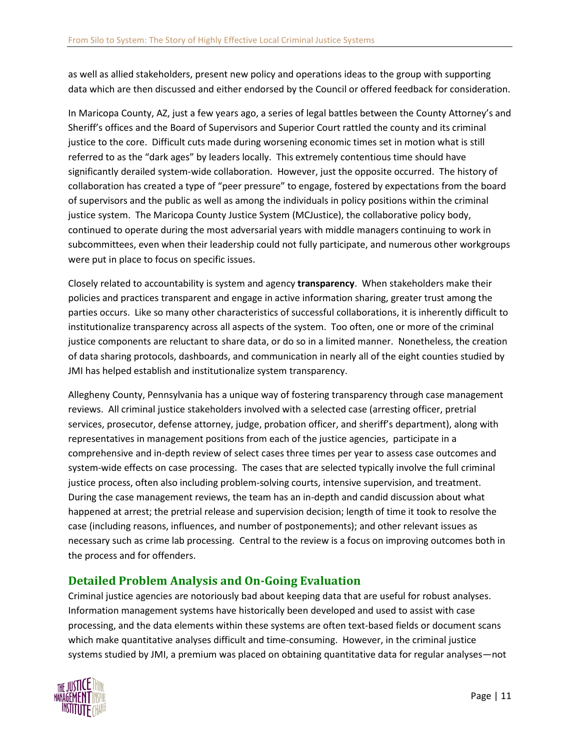as well as allied stakeholders, present new policy and operations ideas to the group with supporting data which are then discussed and either endorsed by the Council or offered feedback for consideration.

In Maricopa County, AZ, just a few years ago, a series of legal battles between the County Attorney's and Sheriff's offices and the Board of Supervisors and Superior Court rattled the county and its criminal justice to the core. Difficult cuts made during worsening economic times set in motion what is still referred to as the "dark ages" by leaders locally. This extremely contentious time should have significantly derailed system-wide collaboration. However, just the opposite occurred. The history of collaboration has created a type of "peer pressure" to engage, fostered by expectations from the board of supervisors and the public as well as among the individuals in policy positions within the criminal justice system. The Maricopa County Justice System (MCJustice), the collaborative policy body, continued to operate during the most adversarial years with middle managers continuing to work in subcommittees, even when their leadership could not fully participate, and numerous other workgroups were put in place to focus on specific issues.

Closely related to accountability is system and agency **transparency**. When stakeholders make their policies and practices transparent and engage in active information sharing, greater trust among the parties occurs. Like so many other characteristics of successful collaborations, it is inherently difficult to institutionalize transparency across all aspects of the system. Too often, one or more of the criminal justice components are reluctant to share data, or do so in a limited manner. Nonetheless, the creation of data sharing protocols, dashboards, and communication in nearly all of the eight counties studied by JMI has helped establish and institutionalize system transparency.

Allegheny County, Pennsylvania has a unique way of fostering transparency through case management reviews. All criminal justice stakeholders involved with a selected case (arresting officer, pretrial services, prosecutor, defense attorney, judge, probation officer, and sheriff's department), along with representatives in management positions from each of the justice agencies, participate in a comprehensive and in-depth review of select cases three times per year to assess case outcomes and system-wide effects on case processing. The cases that are selected typically involve the full criminal justice process, often also including problem-solving courts, intensive supervision, and treatment. During the case management reviews, the team has an in-depth and candid discussion about what happened at arrest; the pretrial release and supervision decision; length of time it took to resolve the case (including reasons, influences, and number of postponements); and other relevant issues as necessary such as crime lab processing. Central to the review is a focus on improving outcomes both in the process and for offenders.

### <span id="page-13-0"></span>**Detailed Problem Analysis and On-Going Evaluation**

Criminal justice agencies are notoriously bad about keeping data that are useful for robust analyses. Information management systems have historically been developed and used to assist with case processing, and the data elements within these systems are often text-based fields or document scans which make quantitative analyses difficult and time-consuming. However, in the criminal justice systems studied by JMI, a premium was placed on obtaining quantitative data for regular analyses—not

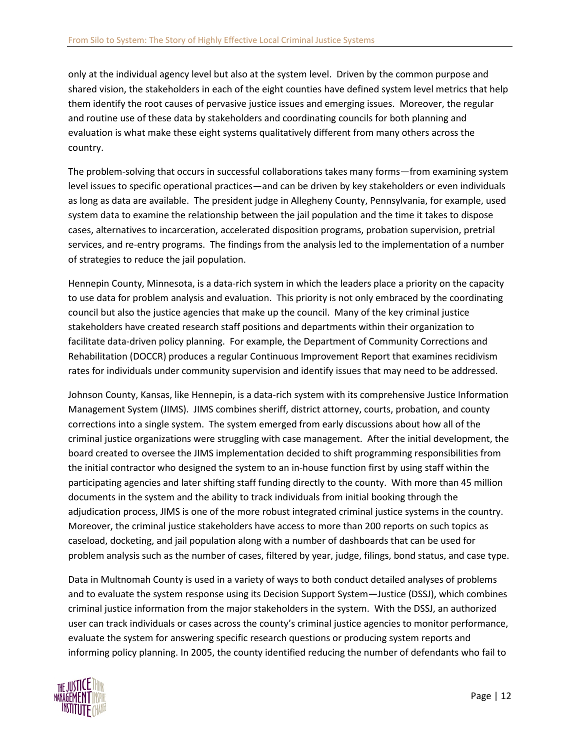only at the individual agency level but also at the system level. Driven by the common purpose and shared vision, the stakeholders in each of the eight counties have defined system level metrics that help them identify the root causes of pervasive justice issues and emerging issues. Moreover, the regular and routine use of these data by stakeholders and coordinating councils for both planning and evaluation is what make these eight systems qualitatively different from many others across the country.

The problem-solving that occurs in successful collaborations takes many forms—from examining system level issues to specific operational practices—and can be driven by key stakeholders or even individuals as long as data are available. The president judge in Allegheny County, Pennsylvania, for example, used system data to examine the relationship between the jail population and the time it takes to dispose cases, alternatives to incarceration, accelerated disposition programs, probation supervision, pretrial services, and re-entry programs. The findings from the analysis led to the implementation of a number of strategies to reduce the jail population.

Hennepin County, Minnesota, is a data-rich system in which the leaders place a priority on the capacity to use data for problem analysis and evaluation. This priority is not only embraced by the coordinating council but also the justice agencies that make up the council. Many of the key criminal justice stakeholders have created research staff positions and departments within their organization to facilitate data-driven policy planning. For example, the Department of Community Corrections and Rehabilitation (DOCCR) produces a regular Continuous Improvement Report that examines recidivism rates for individuals under community supervision and identify issues that may need to be addressed.

Johnson County, Kansas, like Hennepin, is a data-rich system with its comprehensive Justice Information Management System (JIMS). JIMS combines sheriff, district attorney, courts, probation, and county corrections into a single system. The system emerged from early discussions about how all of the criminal justice organizations were struggling with case management. After the initial development, the board created to oversee the JIMS implementation decided to shift programming responsibilities from the initial contractor who designed the system to an in-house function first by using staff within the participating agencies and later shifting staff funding directly to the county. With more than 45 million documents in the system and the ability to track individuals from initial booking through the adjudication process, JIMS is one of the more robust integrated criminal justice systems in the country. Moreover, the criminal justice stakeholders have access to more than 200 reports on such topics as caseload, docketing, and jail population along with a number of dashboards that can be used for problem analysis such as the number of cases, filtered by year, judge, filings, bond status, and case type.

Data in Multnomah County is used in a variety of ways to both conduct detailed analyses of problems and to evaluate the system response using its Decision Support System—Justice (DSSJ), which combines criminal justice information from the major stakeholders in the system. With the DSSJ, an authorized user can track individuals or cases across the county's criminal justice agencies to monitor performance, evaluate the system for answering specific research questions or producing system reports and informing policy planning. In 2005, the county identified reducing the number of defendants who fail to

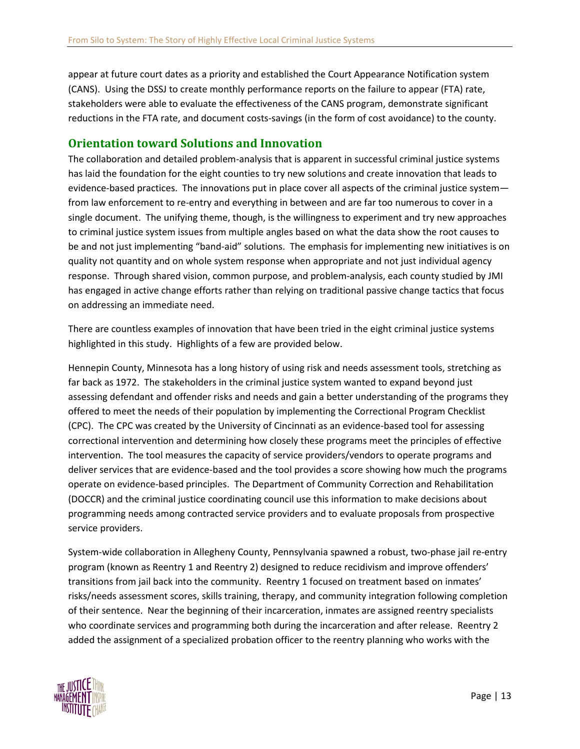appear at future court dates as a priority and established the Court Appearance Notification system (CANS). Using the DSSJ to create monthly performance reports on the failure to appear (FTA) rate, stakeholders were able to evaluate the effectiveness of the CANS program, demonstrate significant reductions in the FTA rate, and document costs-savings (in the form of cost avoidance) to the county.

### <span id="page-15-0"></span>**Orientation toward Solutions and Innovation**

The collaboration and detailed problem-analysis that is apparent in successful criminal justice systems has laid the foundation for the eight counties to try new solutions and create innovation that leads to evidence-based practices. The innovations put in place cover all aspects of the criminal justice system from law enforcement to re-entry and everything in between and are far too numerous to cover in a single document. The unifying theme, though, is the willingness to experiment and try new approaches to criminal justice system issues from multiple angles based on what the data show the root causes to be and not just implementing "band-aid" solutions. The emphasis for implementing new initiatives is on quality not quantity and on whole system response when appropriate and not just individual agency response. Through shared vision, common purpose, and problem-analysis, each county studied by JMI has engaged in active change efforts rather than relying on traditional passive change tactics that focus on addressing an immediate need.

There are countless examples of innovation that have been tried in the eight criminal justice systems highlighted in this study. Highlights of a few are provided below.

Hennepin County, Minnesota has a long history of using risk and needs assessment tools, stretching as far back as 1972. The stakeholders in the criminal justice system wanted to expand beyond just assessing defendant and offender risks and needs and gain a better understanding of the programs they offered to meet the needs of their population by implementing the Correctional Program Checklist (CPC). The CPC was created by the University of Cincinnati as an evidence-based tool for assessing correctional intervention and determining how closely these programs meet the principles of effective intervention. The tool measures the capacity of service providers/vendors to operate programs and deliver services that are evidence-based and the tool provides a score showing how much the programs operate on evidence-based principles. The Department of Community Correction and Rehabilitation (DOCCR) and the criminal justice coordinating council use this information to make decisions about programming needs among contracted service providers and to evaluate proposals from prospective service providers.

System-wide collaboration in Allegheny County, Pennsylvania spawned a robust, two-phase jail re-entry program (known as Reentry 1 and Reentry 2) designed to reduce recidivism and improve offenders' transitions from jail back into the community. Reentry 1 focused on treatment based on inmates' risks/needs assessment scores, skills training, therapy, and community integration following completion of their sentence. Near the beginning of their incarceration, inmates are assigned reentry specialists who coordinate services and programming both during the incarceration and after release. Reentry 2 added the assignment of a specialized probation officer to the reentry planning who works with the

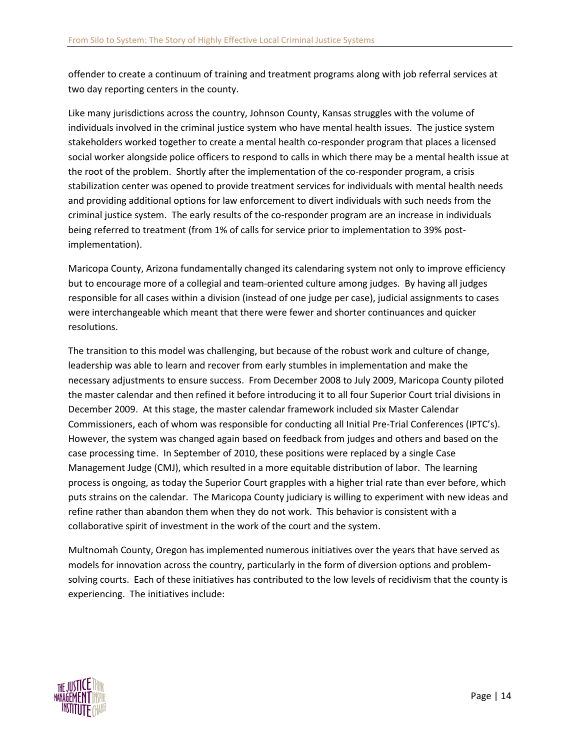offender to create a continuum of training and treatment programs along with job referral services at two day reporting centers in the county.

Like many jurisdictions across the country, Johnson County, Kansas struggles with the volume of individuals involved in the criminal justice system who have mental health issues. The justice system stakeholders worked together to create a mental health co-responder program that places a licensed social worker alongside police officers to respond to calls in which there may be a mental health issue at the root of the problem. Shortly after the implementation of the co-responder program, a crisis stabilization center was opened to provide treatment services for individuals with mental health needs and providing additional options for law enforcement to divert individuals with such needs from the criminal justice system. The early results of the co-responder program are an increase in individuals being referred to treatment (from 1% of calls for service prior to implementation to 39% postimplementation).

Maricopa County, Arizona fundamentally changed its calendaring system not only to improve efficiency but to encourage more of a collegial and team-oriented culture among judges. By having all judges responsible for all cases within a division (instead of one judge per case), judicial assignments to cases were interchangeable which meant that there were fewer and shorter continuances and quicker resolutions.

The transition to this model was challenging, but because of the robust work and culture of change, leadership was able to learn and recover from early stumbles in implementation and make the necessary adjustments to ensure success. From December 2008 to July 2009, Maricopa County piloted the master calendar and then refined it before introducing it to all four Superior Court trial divisions in December 2009. At this stage, the master calendar framework included six Master Calendar Commissioners, each of whom was responsible for conducting all Initial Pre-Trial Conferences (IPTC's). However, the system was changed again based on feedback from judges and others and based on the case processing time. In September of 2010, these positions were replaced by a single Case Management Judge (CMJ), which resulted in a more equitable distribution of labor. The learning process is ongoing, as today the Superior Court grapples with a higher trial rate than ever before, which puts strains on the calendar. The Maricopa County judiciary is willing to experiment with new ideas and refine rather than abandon them when they do not work. This behavior is consistent with a collaborative spirit of investment in the work of the court and the system.

Multnomah County, Oregon has implemented numerous initiatives over the years that have served as models for innovation across the country, particularly in the form of diversion options and problemsolving courts. Each of these initiatives has contributed to the low levels of recidivism that the county is experiencing. The initiatives include:

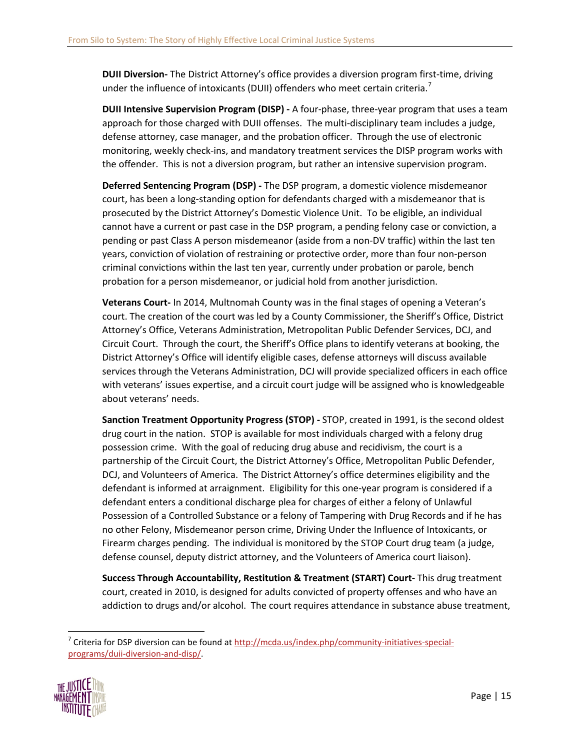**DUII Diversion-** The District Attorney's office provides a diversion program first-time, driving under the influence of intoxicants (DUII) offenders who meet certain criteria.<sup>[7](#page-17-0)</sup>

**DUII Intensive Supervision Program (DISP) -** A four-phase, three-year program that uses a team approach for those charged with DUII offenses. The multi-disciplinary team includes a judge, defense attorney, case manager, and the probation officer. Through the use of electronic monitoring, weekly check-ins, and mandatory treatment services the DISP program works with the offender. This is not a diversion program, but rather an intensive supervision program.

**Deferred Sentencing Program (DSP) -** The DSP program, a domestic violence misdemeanor court, has been a long-standing option for defendants charged with a misdemeanor that is prosecuted by the District Attorney's Domestic Violence Unit. To be eligible, an individual cannot have a current or past case in the DSP program, a pending felony case or conviction, a pending or past Class A person misdemeanor (aside from a non-DV traffic) within the last ten years, conviction of violation of restraining or protective order, more than four non-person criminal convictions within the last ten year, currently under probation or parole, bench probation for a person misdemeanor, or judicial hold from another jurisdiction.

**Veterans Court-** In 2014, Multnomah County was in the final stages of opening a Veteran's court. The creation of the court was led by a County Commissioner, the Sheriff's Office, District Attorney's Office, Veterans Administration, Metropolitan Public Defender Services, DCJ, and Circuit Court. Through the court, the Sheriff's Office plans to identify veterans at booking, the District Attorney's Office will identify eligible cases, defense attorneys will discuss available services through the Veterans Administration, DCJ will provide specialized officers in each office with veterans' issues expertise, and a circuit court judge will be assigned who is knowledgeable about veterans' needs.

**Sanction Treatment Opportunity Progress (STOP) -** STOP, created in 1991, is the second oldest drug court in the nation. STOP is available for most individuals charged with a felony drug possession crime. With the goal of reducing drug abuse and recidivism, the court is a partnership of the Circuit Court, the District Attorney's Office, Metropolitan Public Defender, DCJ, and Volunteers of America. The District Attorney's office determines eligibility and the defendant is informed at arraignment. Eligibility for this one-year program is considered if a defendant enters a conditional discharge plea for charges of either a felony of Unlawful Possession of a Controlled Substance or a felony of Tampering with Drug Records and if he has no other Felony, Misdemeanor person crime, Driving Under the Influence of Intoxicants, or Firearm charges pending. The individual is monitored by the STOP Court drug team (a judge, defense counsel, deputy district attorney, and the Volunteers of America court liaison).

**Success Through Accountability, Restitution & Treatment (START) Court-** This drug treatment court, created in 2010, is designed for adults convicted of property offenses and who have an addiction to drugs and/or alcohol. The court requires attendance in substance abuse treatment,

<span id="page-17-0"></span><sup>&</sup>lt;sup>7</sup> Criteria for DSP diversion can be found a[t http://mcda.us/index.php/community-initiatives-special](http://mcda.us/index.php/community-initiatives-special-programs/duii-diversion-and-disp/)[programs/duii-diversion-and-disp/.](http://mcda.us/index.php/community-initiatives-special-programs/duii-diversion-and-disp/)

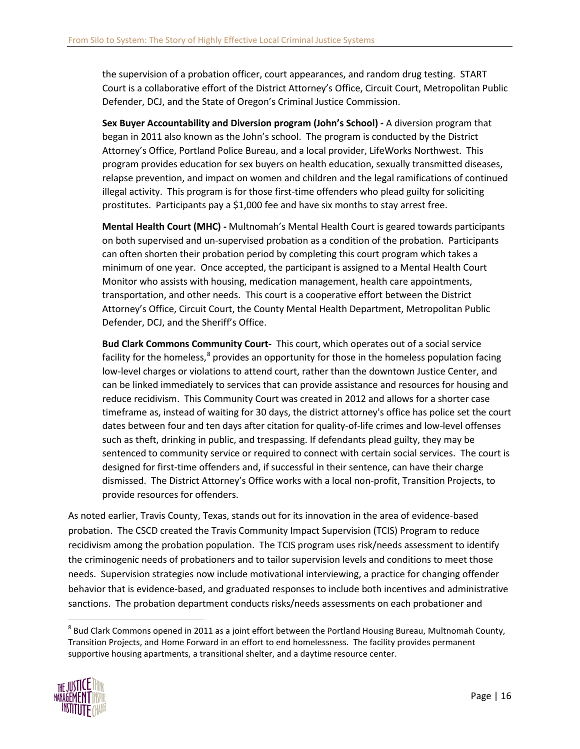the supervision of a probation officer, court appearances, and random drug testing. START Court is a collaborative effort of the District Attorney's Office, Circuit Court, Metropolitan Public Defender, DCJ, and the State of Oregon's Criminal Justice Commission.

**Sex Buyer Accountability and Diversion program (John's School) -** A diversion program that began in 2011 also known as the John's school. The program is conducted by the District Attorney's Office, Portland Police Bureau, and a local provider, LifeWorks Northwest. This program provides education for sex buyers on health education, sexually transmitted diseases, relapse prevention, and impact on women and children and the legal ramifications of continued illegal activity. This program is for those first-time offenders who plead guilty for soliciting prostitutes. Participants pay a \$1,000 fee and have six months to stay arrest free.

**Mental Health Court (MHC) -** Multnomah's Mental Health Court is geared towards participants on both supervised and un-supervised probation as a condition of the probation. Participants can often shorten their probation period by completing this court program which takes a minimum of one year. Once accepted, the participant is assigned to a Mental Health Court Monitor who assists with housing, medication management, health care appointments, transportation, and other needs. This court is a cooperative effort between the District Attorney's Office, Circuit Court, the County Mental Health Department, Metropolitan Public Defender, DCJ, and the Sheriff's Office.

**Bud Clark Commons Community Court-** This court, which operates out of a social service facility for the homeless,<sup>[8](#page-18-0)</sup> provides an opportunity for those in the homeless population facing low-level charges or violations to attend court, rather than the downtown Justice Center, and can be linked immediately to services that can provide assistance and resources for housing and reduce recidivism. This Community Court was created in 2012 and allows for a shorter case timeframe as, instead of waiting for 30 days, the district attorney's office has police set the court dates between four and ten days after citation for quality-of-life crimes and low-level offenses such as theft, drinking in public, and trespassing. If defendants plead guilty, they may be sentenced to community service or required to connect with certain social services. The court is designed for first-time offenders and, if successful in their sentence, can have their charge dismissed. The District Attorney's Office works with a local non-profit, Transition Projects, to provide resources for offenders.

As noted earlier, Travis County, Texas, stands out for its innovation in the area of evidence-based probation. The CSCD created the Travis Community Impact Supervision (TCIS) Program to reduce recidivism among the probation population. The TCIS program uses risk/needs assessment to identify the criminogenic needs of probationers and to tailor supervision levels and conditions to meet those needs. Supervision strategies now include motivational interviewing, a practice for changing offender behavior that is evidence-based, and graduated responses to include both incentives and administrative sanctions. The probation department conducts risks/needs assessments on each probationer and

<span id="page-18-0"></span> $8$  Bud Clark Commons opened in 2011 as a joint effort between the Portland Housing Bureau, Multnomah County, Transition Projects, and Home Forward in an effort to end homelessness. The facility provides permanent supportive housing apartments, a transitional shelter, and a daytime resource center.

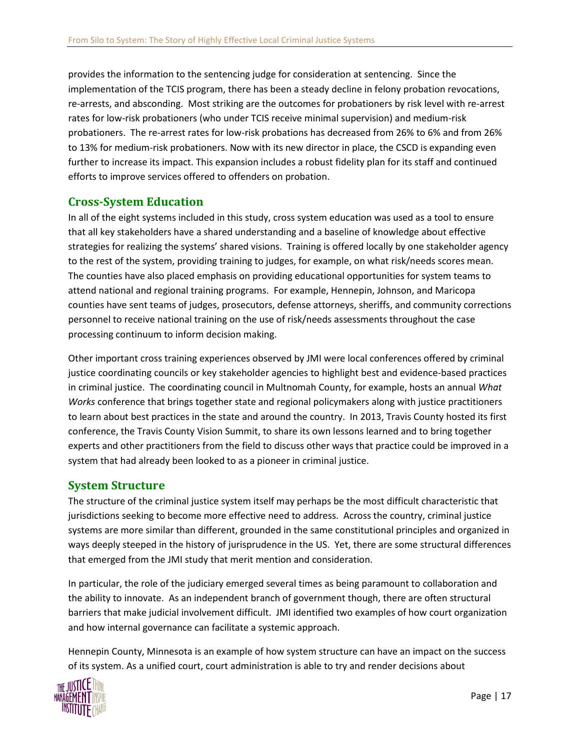provides the information to the sentencing judge for consideration at sentencing. Since the implementation of the TCIS program, there has been a steady decline in felony probation revocations, re-arrests, and absconding. Most striking are the outcomes for probationers by risk level with re-arrest rates for low-risk probationers (who under TCIS receive minimal supervision) and medium-risk probationers. The re-arrest rates for low-risk probations has decreased from 26% to 6% and from 26% to 13% for medium-risk probationers. Now with its new director in place, the CSCD is expanding even further to increase its impact. This expansion includes a robust fidelity plan for its staff and continued efforts to improve services offered to offenders on probation.

### <span id="page-19-0"></span>**Cross-System Education**

In all of the eight systems included in this study, cross system education was used as a tool to ensure that all key stakeholders have a shared understanding and a baseline of knowledge about effective strategies for realizing the systems' shared visions. Training is offered locally by one stakeholder agency to the rest of the system, providing training to judges, for example, on what risk/needs scores mean. The counties have also placed emphasis on providing educational opportunities for system teams to attend national and regional training programs. For example, Hennepin, Johnson, and Maricopa counties have sent teams of judges, prosecutors, defense attorneys, sheriffs, and community corrections personnel to receive national training on the use of risk/needs assessments throughout the case processing continuum to inform decision making.

Other important cross training experiences observed by JMI were local conferences offered by criminal justice coordinating councils or key stakeholder agencies to highlight best and evidence-based practices in criminal justice. The coordinating council in Multnomah County, for example, hosts an annual *What Works* conference that brings together state and regional policymakers along with justice practitioners to learn about best practices in the state and around the country. In 2013, Travis County hosted its first conference, the Travis County Vision Summit, to share its own lessons learned and to bring together experts and other practitioners from the field to discuss other ways that practice could be improved in a system that had already been looked to as a pioneer in criminal justice.

### <span id="page-19-1"></span>**System Structure**

The structure of the criminal justice system itself may perhaps be the most difficult characteristic that jurisdictions seeking to become more effective need to address. Across the country, criminal justice systems are more similar than different, grounded in the same constitutional principles and organized in ways deeply steeped in the history of jurisprudence in the US. Yet, there are some structural differences that emerged from the JMI study that merit mention and consideration.

In particular, the role of the judiciary emerged several times as being paramount to collaboration and the ability to innovate. As an independent branch of government though, there are often structural barriers that make judicial involvement difficult. JMI identified two examples of how court organization and how internal governance can facilitate a systemic approach.

Hennepin County, Minnesota is an example of how system structure can have an impact on the success of its system. As a unified court, court administration is able to try and render decisions about

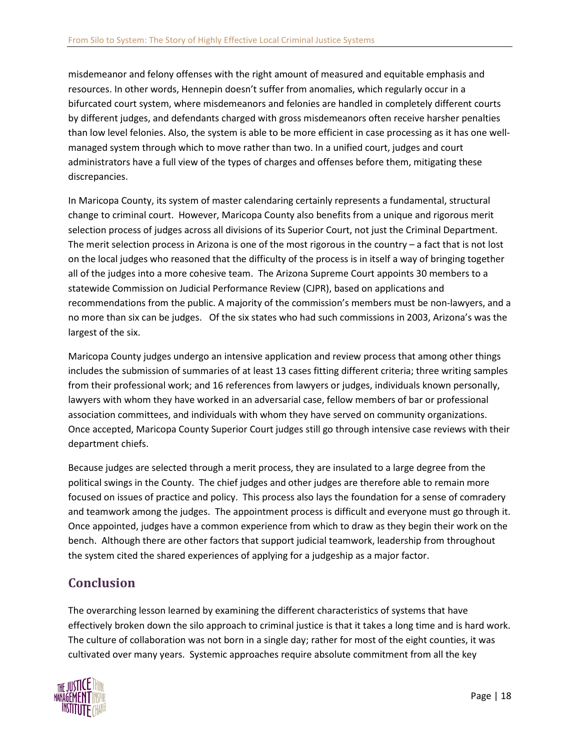misdemeanor and felony offenses with the right amount of measured and equitable emphasis and resources. In other words, Hennepin doesn't suffer from anomalies, which regularly occur in a bifurcated court system, where misdemeanors and felonies are handled in completely different courts by different judges, and defendants charged with gross misdemeanors often receive harsher penalties than low level felonies. Also, the system is able to be more efficient in case processing as it has one wellmanaged system through which to move rather than two. In a unified court, judges and court administrators have a full view of the types of charges and offenses before them, mitigating these discrepancies.

In Maricopa County, its system of master calendaring certainly represents a fundamental, structural change to criminal court. However, Maricopa County also benefits from a unique and rigorous merit selection process of judges across all divisions of its Superior Court, not just the Criminal Department. The merit selection process in Arizona is one of the most rigorous in the country – a fact that is not lost on the local judges who reasoned that the difficulty of the process is in itself a way of bringing together all of the judges into a more cohesive team. The Arizona Supreme Court appoints 30 members to a statewide Commission on Judicial Performance Review (CJPR), based on applications and recommendations from the public. A majority of the commission's members must be non-lawyers, and a no more than six can be judges. Of the six states who had such commissions in 2003, Arizona's was the largest of the six.

Maricopa County judges undergo an intensive application and review process that among other things includes the submission of summaries of at least 13 cases fitting different criteria; three writing samples from their professional work; and 16 references from lawyers or judges, individuals known personally, lawyers with whom they have worked in an adversarial case, fellow members of bar or professional association committees, and individuals with whom they have served on community organizations. Once accepted, Maricopa County Superior Court judges still go through intensive case reviews with their department chiefs.

Because judges are selected through a merit process, they are insulated to a large degree from the political swings in the County. The chief judges and other judges are therefore able to remain more focused on issues of practice and policy. This process also lays the foundation for a sense of comradery and teamwork among the judges. The appointment process is difficult and everyone must go through it. Once appointed, judges have a common experience from which to draw as they begin their work on the bench. Although there are other factors that support judicial teamwork, leadership from throughout the system cited the shared experiences of applying for a judgeship as a major factor.

# <span id="page-20-0"></span>**Conclusion**

The overarching lesson learned by examining the different characteristics of systems that have effectively broken down the silo approach to criminal justice is that it takes a long time and is hard work. The culture of collaboration was not born in a single day; rather for most of the eight counties, it was cultivated over many years. Systemic approaches require absolute commitment from all the key